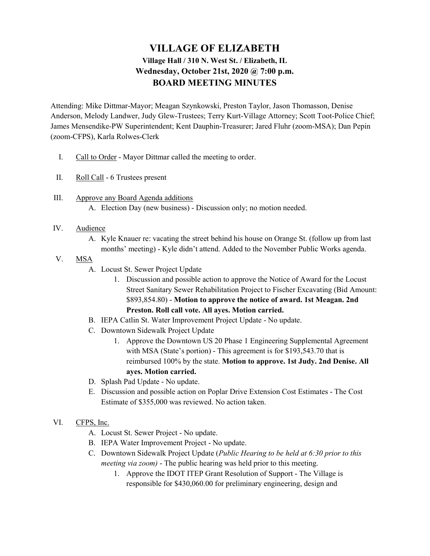## VILLAGE OF ELIZABETH Village Hall / 310 N. West St. / Elizabeth, IL Wednesday, October 21st, 2020 @ 7:00 p.m. BOARD MEETING MINUTES

Attending: Mike Dittmar-Mayor; Meagan Szynkowski, Preston Taylor, Jason Thomasson, Denise Anderson, Melody Landwer, Judy Glew-Trustees; Terry Kurt-Village Attorney; Scott Toot-Police Chief; James Mensendike-PW Superintendent; Kent Dauphin-Treasurer; Jared Fluhr (zoom-MSA); Dan Pepin (zoom-CFPS), Karla Rolwes-Clerk

- I. Call to Order Mayor Dittmar called the meeting to order.
- II. Roll Call 6 Trustees present
- III. Approve any Board Agenda additions A. Election Day (new business) - Discussion only; no motion needed.
- IV. Audience
	- A. Kyle Knauer re: vacating the street behind his house on Orange St. (follow up from last months' meeting) - Kyle didn't attend. Added to the November Public Works agenda.
- V. MSA
	- A. Locust St. Sewer Project Update
		- 1. Discussion and possible action to approve the Notice of Award for the Locust Street Sanitary Sewer Rehabilitation Project to Fischer Excavating (Bid Amount: \$893,854.80) - Motion to approve the notice of award. 1st Meagan. 2nd Preston. Roll call vote. All ayes. Motion carried.
	- B. IEPA Catlin St. Water Improvement Project Update No update.
	- C. Downtown Sidewalk Project Update
		- 1. Approve the Downtown US 20 Phase 1 Engineering Supplemental Agreement with MSA (State's portion) - This agreement is for \$193,543.70 that is reimbursed 100% by the state. Motion to approve. 1st Judy. 2nd Denise. All ayes. Motion carried.
	- D. Splash Pad Update No update.
	- E. Discussion and possible action on Poplar Drive Extension Cost Estimates The Cost Estimate of \$355,000 was reviewed. No action taken.
- VI. CFPS, Inc.
	- A. Locust St. Sewer Project No update.
	- B. IEPA Water Improvement Project No update.
	- C. Downtown Sidewalk Project Update (Public Hearing to be held at 6:30 prior to this meeting via zoom) - The public hearing was held prior to this meeting.
		- 1. Approve the IDOT ITEP Grant Resolution of Support The Village is responsible for \$430,060.00 for preliminary engineering, design and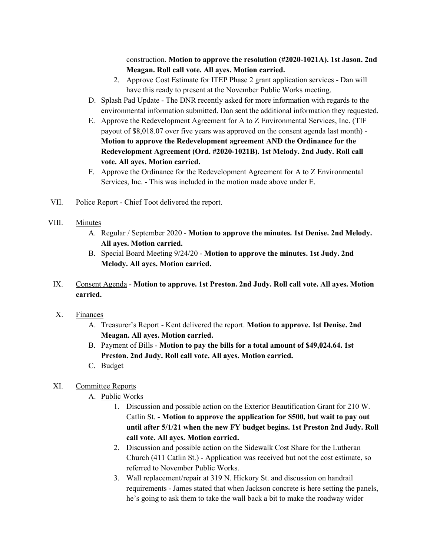construction. Motion to approve the resolution (#2020-1021A). 1st Jason. 2nd Meagan. Roll call vote. All ayes. Motion carried.

- 2. Approve Cost Estimate for ITEP Phase 2 grant application services Dan will have this ready to present at the November Public Works meeting.
- D. Splash Pad Update The DNR recently asked for more information with regards to the environmental information submitted. Dan sent the additional information they requested.
- E. Approve the Redevelopment Agreement for A to Z Environmental Services, Inc. (TIF payout of \$8,018.07 over five years was approved on the consent agenda last month) - Motion to approve the Redevelopment agreement AND the Ordinance for the Redevelopment Agreement (Ord. #2020-1021B). 1st Melody. 2nd Judy. Roll call vote. All ayes. Motion carried.
- F. Approve the Ordinance for the Redevelopment Agreement for A to Z Environmental Services, Inc. - This was included in the motion made above under E.
- VII. Police Report Chief Toot delivered the report.
- VIII. Minutes
	- A. Regular / September 2020 Motion to approve the minutes. 1st Denise. 2nd Melody. All ayes. Motion carried.
	- B. Special Board Meeting 9/24/20 Motion to approve the minutes. 1st Judy. 2nd Melody. All ayes. Motion carried.
	- IX. Consent Agenda Motion to approve. 1st Preston. 2nd Judy. Roll call vote. All ayes. Motion carried.
	- X. Finances
		- A. Treasurer's Report Kent delivered the report. Motion to approve. 1st Denise. 2nd Meagan. All ayes. Motion carried.
		- B. Payment of Bills Motion to pay the bills for a total amount of \$49,024.64. 1st Preston. 2nd Judy. Roll call vote. All ayes. Motion carried.
		- C. Budget
	- XI. Committee Reports
		- A. Public Works
			- 1. Discussion and possible action on the Exterior Beautification Grant for 210 W. Catlin St. - Motion to approve the application for \$500, but wait to pay out until after 5/1/21 when the new FY budget begins. 1st Preston 2nd Judy. Roll call vote. All ayes. Motion carried.
			- 2. Discussion and possible action on the Sidewalk Cost Share for the Lutheran Church (411 Catlin St.) - Application was received but not the cost estimate, so referred to November Public Works.
			- 3. Wall replacement/repair at 319 N. Hickory St. and discussion on handrail requirements - James stated that when Jackson concrete is here setting the panels, he's going to ask them to take the wall back a bit to make the roadway wider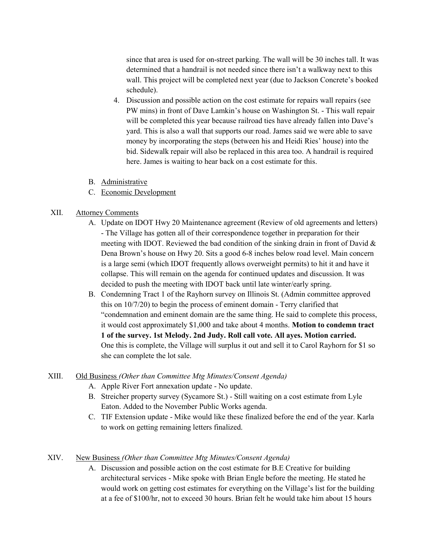since that area is used for on-street parking. The wall will be 30 inches tall. It was determined that a handrail is not needed since there isn't a walkway next to this wall. This project will be completed next year (due to Jackson Concrete's booked schedule).

- 4. Discussion and possible action on the cost estimate for repairs wall repairs (see PW mins) in front of Dave Lamkin's house on Washington St. - This wall repair will be completed this year because railroad ties have already fallen into Dave's yard. This is also a wall that supports our road. James said we were able to save money by incorporating the steps (between his and Heidi Ries' house) into the bid. Sidewalk repair will also be replaced in this area too. A handrail is required here. James is waiting to hear back on a cost estimate for this.
- B. Administrative
- C. Economic Development

## XII. Attorney Comments

- A. Update on IDOT Hwy 20 Maintenance agreement (Review of old agreements and letters) - The Village has gotten all of their correspondence together in preparation for their meeting with IDOT. Reviewed the bad condition of the sinking drain in front of David & Dena Brown's house on Hwy 20. Sits a good 6-8 inches below road level. Main concern is a large semi (which IDOT frequently allows overweight permits) to hit it and have it collapse. This will remain on the agenda for continued updates and discussion. It was decided to push the meeting with IDOT back until late winter/early spring.
- B. Condemning Tract 1 of the Rayhorn survey on Illinois St. (Admin committee approved this on 10/7/20) to begin the process of eminent domain - Terry clarified that "condemnation and eminent domain are the same thing. He said to complete this process, it would cost approximately \$1,000 and take about 4 months. Motion to condemn tract 1 of the survey. 1st Melody. 2nd Judy. Roll call vote. All ayes. Motion carried. One this is complete, the Village will surplus it out and sell it to Carol Rayhorn for \$1 so she can complete the lot sale.

## XIII. Old Business (Other than Committee Mtg Minutes/Consent Agenda)

- A. Apple River Fort annexation update No update.
- B. Streicher property survey (Sycamore St.) Still waiting on a cost estimate from Lyle Eaton. Added to the November Public Works agenda.
- C. TIF Extension update Mike would like these finalized before the end of the year. Karla to work on getting remaining letters finalized.

## XIV. New Business (Other than Committee Mtg Minutes/Consent Agenda)

A. Discussion and possible action on the cost estimate for B.E Creative for building architectural services - Mike spoke with Brian Engle before the meeting. He stated he would work on getting cost estimates for everything on the Village's list for the building at a fee of \$100/hr, not to exceed 30 hours. Brian felt he would take him about 15 hours